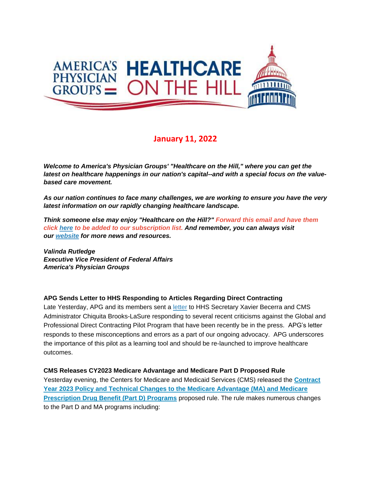

# **January 11, 2022**

*Welcome to America's Physician Groups' "Healthcare on the Hill," where you can get the latest on healthcare happenings in our nation's capital--and with a special focus on the valuebased care movement.*

*As our nation continues to face many challenges, we are working to ensure you have the very latest information on our rapidly changing healthcare landscape.*

*Think someone else may enjoy "Healthcare on the Hill?" Forward this email and have them click [here](mailto:srobinette@apg.org) to be added to our subscription list. And remember, you can always visit our [website](http://link.apg.org/c/7/eyJhaSI6Njk4MDUxNDQsImUiOiJncGhpbGxpcHNAYXBnLm9yZyIsInJpIjoiY29udGFjdC03YWMxOTAzZjFkYzVlYTExYTgxMjAwMGQzYTVhMTdlMy00ZDBkOTAzNmQyYjk0MTAyOTYxNWRmMDUwOTNjNzI2YyIsInJxIjoiMDItYjIyMDExLTZmOTFiNjc1MWVkZjQ0ZDk5YmJkNTc5ZGFkMDFlZGEzIiwicGgiOm51bGwsIm0iOmZhbHNlLCJ1aSI6IjAiLCJ1biI6IiIsInUiOiJodHRwOi8vd3d3LmFwZy5vcmc_X2NsZGVlPVozQm9hV3hzYVhCelFHRndaeTV2Y21jJTNkJnJlY2lwaWVudGlkPWNvbnRhY3QtN2FjMTkwM2YxZGM1ZWExMWE4MTIwMDBkM2E1YTE3ZTMtNGQwZDkwMzZkMmI5NDEwMjk2MTVkZjA1MDkzYzcyNmMmZXNpZD1hOGM3MmIyZi04YTcyLWVjMTEtODk0My0wMDBkM2E1OTkzYWEifQ/SOn7YH87DCIKhgwwa7sBuQ) for more news and resources.* 

*Valinda Rutledge Executive Vice President of Federal Affairs America's Physician Groups*

## **APG Sends Letter to HHS Responding to Articles Regarding Direct Contracting**

Late Yesterday, APG and its members sent a [letter](http://link.apg.org/c/7/eyJhaSI6Njk4MDUxNDQsImUiOiJncGhpbGxpcHNAYXBnLm9yZyIsInJpIjoiY29udGFjdC03YWMxOTAzZjFkYzVlYTExYTgxMjAwMGQzYTVhMTdlMy00ZDBkOTAzNmQyYjk0MTAyOTYxNWRmMDUwOTNjNzI2YyIsInJxIjoiMDItYjIyMDExLTZmOTFiNjc1MWVkZjQ0ZDk5YmJkNTc5ZGFkMDFlZGEzIiwicGgiOm51bGwsIm0iOmZhbHNlLCJ1aSI6IjEiLCJ1biI6IiIsInUiOiJodHRwczovL3d3dy5hcGcub3JnL3dwLWNvbnRlbnQvdXBsb2Fkcy8yMDIyLzAxL0ZJTkFMLUphbnVhcnktMjAyMi1EaXJlY3QtQ29udHJhY3RpbmctTGV0dGVyLXRvLVNlY3JldGFyeS1CZWNlcnJhLnBkZj9fY2xkZWU9WjNCb2FXeHNhWEJ6UUdGd1p5NXZjbWMlM2QmcmVjaXBpZW50aWQ9Y29udGFjdC03YWMxOTAzZjFkYzVlYTExYTgxMjAwMGQzYTVhMTdlMy00ZDBkOTAzNmQyYjk0MTAyOTYxNWRmMDUwOTNjNzI2YyZlc2lkPWE4YzcyYjJmLThhNzItZWMxMS04OTQzLTAwMGQzYTU5OTNhYSJ9/m4NUigua26djA7riEowc-w) to HHS Secretary Xavier Becerra and CMS Administrator Chiquita Brooks-LaSure responding to several recent criticisms against the Global and Professional Direct Contracting Pilot Program that have been recently be in the press. APG's letter responds to these misconceptions and errors as a part of our ongoing advocacy. APG underscores the importance of this pilot as a learning tool and should be re-launched to improve healthcare outcomes.

#### **CMS Releases CY2023 Medicare Advantage and Medicare Part D Proposed Rule**

Yesterday evening, the Centers for Medicare and Medicaid Services (CMS) released the **[Contract](http://link.apg.org/c/7/eyJhaSI6Njk4MDUxNDQsImUiOiJncGhpbGxpcHNAYXBnLm9yZyIsInJpIjoiY29udGFjdC03YWMxOTAzZjFkYzVlYTExYTgxMjAwMGQzYTVhMTdlMy00ZDBkOTAzNmQyYjk0MTAyOTYxNWRmMDUwOTNjNzI2YyIsInJxIjoiMDItYjIyMDExLTZmOTFiNjc1MWVkZjQ0ZDk5YmJkNTc5ZGFkMDFlZGEzIiwicGgiOm51bGwsIm0iOmZhbHNlLCJ1aSI6IjIiLCJ1biI6IiIsInUiOiJodHRwczovL3B1YmxpYy1pbnNwZWN0aW9uLmZlZGVyYWxyZWdpc3Rlci5nb3YvMjAyMi0wMDExNy5wZGY_X2NsZGVlPVozQm9hV3hzYVhCelFHRndaeTV2Y21jJTNkJnJlY2lwaWVudGlkPWNvbnRhY3QtN2FjMTkwM2YxZGM1ZWExMWE4MTIwMDBkM2E1YTE3ZTMtNGQwZDkwMzZkMmI5NDEwMjk2MTVkZjA1MDkzYzcyNmMmZXNpZD1hOGM3MmIyZi04YTcyLWVjMTEtODk0My0wMDBkM2E1OTkzYWEifQ/qk3Pc6A5PJ74N0CCFPa4vg)  [Year 2023 Policy and Technical Changes to the Medicare Advantage \(MA\) and Medicare](http://link.apg.org/c/7/eyJhaSI6Njk4MDUxNDQsImUiOiJncGhpbGxpcHNAYXBnLm9yZyIsInJpIjoiY29udGFjdC03YWMxOTAzZjFkYzVlYTExYTgxMjAwMGQzYTVhMTdlMy00ZDBkOTAzNmQyYjk0MTAyOTYxNWRmMDUwOTNjNzI2YyIsInJxIjoiMDItYjIyMDExLTZmOTFiNjc1MWVkZjQ0ZDk5YmJkNTc5ZGFkMDFlZGEzIiwicGgiOm51bGwsIm0iOmZhbHNlLCJ1aSI6IjIiLCJ1biI6IiIsInUiOiJodHRwczovL3B1YmxpYy1pbnNwZWN0aW9uLmZlZGVyYWxyZWdpc3Rlci5nb3YvMjAyMi0wMDExNy5wZGY_X2NsZGVlPVozQm9hV3hzYVhCelFHRndaeTV2Y21jJTNkJnJlY2lwaWVudGlkPWNvbnRhY3QtN2FjMTkwM2YxZGM1ZWExMWE4MTIwMDBkM2E1YTE3ZTMtNGQwZDkwMzZkMmI5NDEwMjk2MTVkZjA1MDkzYzcyNmMmZXNpZD1hOGM3MmIyZi04YTcyLWVjMTEtODk0My0wMDBkM2E1OTkzYWEifQ/qk3Pc6A5PJ74N0CCFPa4vg)  [Prescription Drug Benefit \(Part D\) Programs](http://link.apg.org/c/7/eyJhaSI6Njk4MDUxNDQsImUiOiJncGhpbGxpcHNAYXBnLm9yZyIsInJpIjoiY29udGFjdC03YWMxOTAzZjFkYzVlYTExYTgxMjAwMGQzYTVhMTdlMy00ZDBkOTAzNmQyYjk0MTAyOTYxNWRmMDUwOTNjNzI2YyIsInJxIjoiMDItYjIyMDExLTZmOTFiNjc1MWVkZjQ0ZDk5YmJkNTc5ZGFkMDFlZGEzIiwicGgiOm51bGwsIm0iOmZhbHNlLCJ1aSI6IjIiLCJ1biI6IiIsInUiOiJodHRwczovL3B1YmxpYy1pbnNwZWN0aW9uLmZlZGVyYWxyZWdpc3Rlci5nb3YvMjAyMi0wMDExNy5wZGY_X2NsZGVlPVozQm9hV3hzYVhCelFHRndaeTV2Y21jJTNkJnJlY2lwaWVudGlkPWNvbnRhY3QtN2FjMTkwM2YxZGM1ZWExMWE4MTIwMDBkM2E1YTE3ZTMtNGQwZDkwMzZkMmI5NDEwMjk2MTVkZjA1MDkzYzcyNmMmZXNpZD1hOGM3MmIyZi04YTcyLWVjMTEtODk0My0wMDBkM2E1OTkzYWEifQ/qk3Pc6A5PJ74N0CCFPa4vg)** proposed rule. The rule makes numerous changes to the Part D and MA programs including: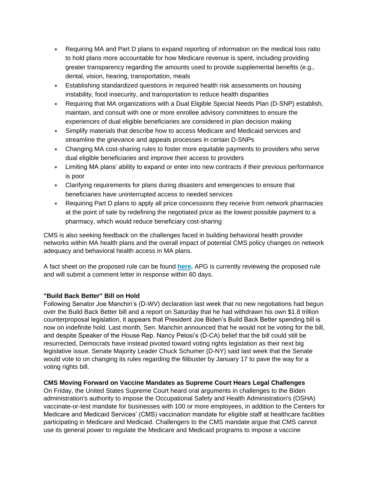- Requiring MA and Part D plans to expand reporting of information on the medical loss ratio to hold plans more accountable for how Medicare revenue is spent, including providing greater transparency regarding the amounts used to provide supplemental benefits (e.g., dental, vision, hearing, transportation, meals
- Establishing standardized questions in required health risk assessments on housing instability, food insecurity, and transportation to reduce health disparities
- Requiring that MA organizations with a Dual Eligible Special Needs Plan (D-SNP) establish, maintain, and consult with one or more enrollee advisory committees to ensure the experiences of dual eligible beneficiaries are considered in plan decision making
- Simplify materials that describe how to access Medicare and Medicaid services and streamline the grievance and appeals processes in certain D-SNPs
- Changing MA cost-sharing rules to foster more equitable payments to providers who serve dual eligible beneficiaries and improve their access to providers
- Limiting MA plans' ability to expand or enter into new contracts if their previous performance is poor
- Clarifying requirements for plans during disasters and emergencies to ensure that beneficiaries have uninterrupted access to needed services
- Requiring Part D plans to apply all price concessions they receive from network pharmacies at the point of sale by redefining the negotiated price as the lowest possible payment to a pharmacy, which would reduce beneficiary cost-sharing

CMS is also seeking feedback on the challenges faced in building behavioral health provider networks within MA health plans and the overall impact of potential CMS policy changes on network adequacy and behavioral health access in MA plans.

A fact sheet on the proposed rule can be found **[here.](http://link.apg.org/c/7/eyJhaSI6Njk4MDUxNDQsImUiOiJncGhpbGxpcHNAYXBnLm9yZyIsInJpIjoiY29udGFjdC03YWMxOTAzZjFkYzVlYTExYTgxMjAwMGQzYTVhMTdlMy00ZDBkOTAzNmQyYjk0MTAyOTYxNWRmMDUwOTNjNzI2YyIsInJxIjoiMDItYjIyMDExLTZmOTFiNjc1MWVkZjQ0ZDk5YmJkNTc5ZGFkMDFlZGEzIiwicGgiOm51bGwsIm0iOmZhbHNlLCJ1aSI6IjMiLCJ1biI6IiIsInUiOiJodHRwczovL3d3dy5jbXMuZ292L25ld3Nyb29tL2ZhY3Qtc2hlZXRzL2N5LTIwMjMtbWVkaWNhcmUtYWR2YW50YWdlLWFuZC1wYXJ0LWQtcHJvcG9zZWQtcnVsZS1jbXMtNDE5Mi1wP19jbGRlZT1aM0JvYVd4c2FYQnpRR0Z3Wnk1dmNtYyUzZCZyZWNpcGllbnRpZD1jb250YWN0LTdhYzE5MDNmMWRjNWVhMTFhODEyMDAwZDNhNWExN2UzLTRkMGQ5MDM2ZDJiOTQxMDI5NjE1ZGYwNTA5M2M3MjZjJmVzaWQ9YThjNzJiMmYtOGE3Mi1lYzExLTg5NDMtMDAwZDNhNTk5M2FhIn0/YpSBlcz4JsgYsplj58uqnQ)** APG is currently reviewing the proposed rule and will submit a comment letter in response within 60 days.

## **"Build Back Better" Bill on Hold**

Following Senator Joe Manchin's (D-WV) declaration last week that no new negotiations had begun over the Build Back Better bill and a report on Saturday that he had withdrawn his own \$1.8 trillion counterproposal legislation, it appears that President Joe Biden's Build Back Better spending bill is now on indefinite hold. Last month, Sen. Manchin announced that he would not be voting for the bill, and despite Speaker of the House Rep. Nancy Pelosi's (D-CA) belief that the bill could still be resurrected, Democrats have instead pivoted toward voting rights legislation as their next big legislative issue. Senate Majority Leader Chuck Schumer (D-NY) said last week that the Senate would vote to on changing its rules regarding the filibuster by January 17 to pave the way for a voting rights bill.

## **CMS Moving Forward on Vaccine Mandates as Supreme Court Hears Legal Challenges**

On Friday, the United States Supreme Court heard oral arguments in challenges to the Biden administration's authority to impose the Occupational Safety and Health Administration's (OSHA) vaccinate-or-test mandate for businesses with 100 or more employees, in addition to the Centers for Medicare and Medicaid Services' (CMS) vaccination mandate for eligible staff at healthcare facilities participating in Medicare and Medicaid. Challengers to the CMS mandate argue that CMS cannot use its general power to regulate the Medicare and Medicaid programs to impose a vaccine